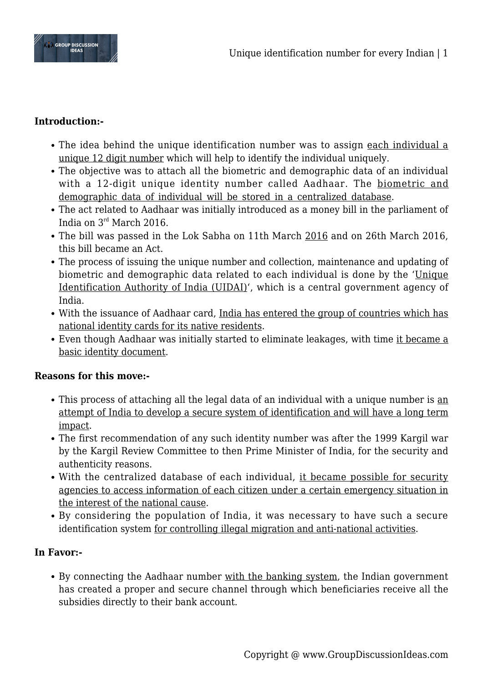

#### **Introduction:-**

- The idea behind the unique identification number was to assign each individual a unique 12 digit number which will help to identify the individual uniquely.
- The objective was to attach all the biometric and demographic data of an individual with a 12-digit unique identity number called Aadhaar. The biometric and demographic data of individual will be stored in a centralized database.
- The act related to Aadhaar was initially introduced as a money bill in the parliament of India on  $3<sup>rd</sup>$  March 2016.
- The bill was passed in the Lok Sabha on 11th March 2016 and on 26th March 2016, this bill became an Act.
- The process of issuing the unique number and collection, maintenance and updating of biometric and demographic data related to each individual is done by the 'Unique Identification Authority of India (UIDAI)', which is a central government agency of India.
- With the issuance of Aadhaar card, India has entered the group of countries which has national identity cards for its native residents.
- Even though Aadhaar was initially started to eliminate leakages, with time it became a basic identity document.

#### **Reasons for this move:-**

- This process of attaching all the legal data of an individual with a unique number is an attempt of India to develop a secure system of identification and will have a long term impact.
- The first recommendation of any such identity number was after the 1999 Kargil war by the Kargil Review Committee to then Prime Minister of India, for the security and authenticity reasons.
- With the centralized database of each individual, it became possible for security agencies to access information of each citizen under a certain emergency situation in the interest of the national cause.
- By considering the population of India, it was necessary to have such a secure identification system for controlling illegal migration and anti-national activities.

## **In Favor:-**

• By connecting the Aadhaar number with the banking system, the Indian government has created a proper and secure channel through which beneficiaries receive all the subsidies directly to their bank account.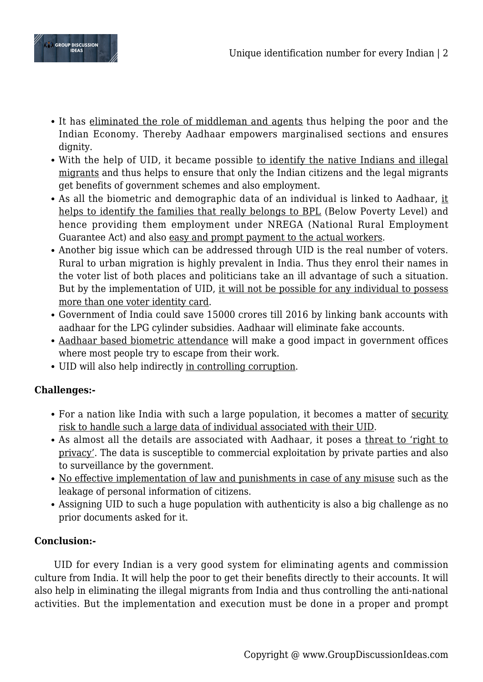

- It has eliminated the role of middleman and agents thus helping the poor and the Indian Economy. Thereby Aadhaar empowers marginalised sections and ensures dignity.
- With the help of UID, it became possible to identify the native Indians and illegal migrants and thus helps to ensure that only the Indian citizens and the legal migrants get benefits of government schemes and also employment.
- As all the biometric and demographic data of an individual is linked to Aadhaar, it helps to identify the families that really belongs to BPL (Below Poverty Level) and hence providing them employment under NREGA (National Rural Employment Guarantee Act) and also easy and prompt payment to the actual workers.
- Another big issue which can be addressed through UID is the real number of voters. Rural to urban migration is highly prevalent in India. Thus they enrol their names in the voter list of both places and politicians take an ill advantage of such a situation. But by the implementation of UID, it will not be possible for any individual to possess more than one voter identity card.
- Government of India could save 15000 crores till 2016 by linking bank accounts with aadhaar for the LPG cylinder subsidies. Aadhaar will eliminate fake accounts.
- Aadhaar based biometric attendance will make a good impact in government offices where most people try to escape from their work.
- UID will also help indirectly in controlling corruption.

## **Challenges:-**

- For a nation like India with such a large population, it becomes a matter of security risk to handle such a large data of individual associated with their UID.
- As almost all the details are associated with Aadhaar, it poses a threat to 'right to privacy'. The data is susceptible to commercial exploitation by private parties and also to surveillance by the government.
- No effective implementation of law and punishments in case of any misuse such as the leakage of personal information of citizens.
- Assigning UID to such a huge population with authenticity is also a big challenge as no prior documents asked for it.

# **Conclusion:-**

UID for every Indian is a very good system for eliminating agents and commission culture from India. It will help the poor to get their benefits directly to their accounts. It will also help in eliminating the illegal migrants from India and thus controlling the anti-national activities. But the implementation and execution must be done in a proper and prompt